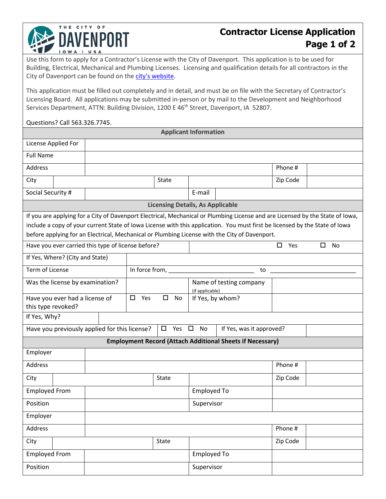## **Contractor License Application Page 1 of 2**

Use this form to apply for a Contractor's License with the City of Davenport. This application is to be used for Building, Electrical, Mechanical and Plumbing Licenses. Licensing and qualification details for all contractors in the City of Davenport can be found on the [city's website.](https://davenportiowa.com/services/licenses)

This application must be filled out completely and in detail, and must be on file with the Secretary of Contractor's Licensing Board. All applications may be submitted in-person or by mail to the Development and Neighborhood Services Department, ATTN: Building Division, 1200 E 46<sup>th</sup> Street, Davenport, IA 52807.

## Questions? Call 563.326.7745.

THE CITY OF

**DAVENPORT** 

|                                                                                                                               |       |                                                                                                                                                                                                                                            | <b>Applicant Information</b> |                                            |                                                                  |          |                |  |  |  |  |
|-------------------------------------------------------------------------------------------------------------------------------|-------|--------------------------------------------------------------------------------------------------------------------------------------------------------------------------------------------------------------------------------------------|------------------------------|--------------------------------------------|------------------------------------------------------------------|----------|----------------|--|--|--|--|
| License Applied For                                                                                                           |       |                                                                                                                                                                                                                                            |                              |                                            |                                                                  |          |                |  |  |  |  |
| <b>Full Name</b>                                                                                                              |       |                                                                                                                                                                                                                                            |                              |                                            |                                                                  |          |                |  |  |  |  |
| Address                                                                                                                       |       |                                                                                                                                                                                                                                            |                              |                                            |                                                                  | Phone #  |                |  |  |  |  |
| City                                                                                                                          | State |                                                                                                                                                                                                                                            |                              |                                            |                                                                  | Zip Code |                |  |  |  |  |
| Social Security #<br>E-mail                                                                                                   |       |                                                                                                                                                                                                                                            |                              |                                            |                                                                  |          |                |  |  |  |  |
| <b>Licensing Details, As Applicable</b>                                                                                       |       |                                                                                                                                                                                                                                            |                              |                                            |                                                                  |          |                |  |  |  |  |
| If you are applying for a City of Davenport Electrical, Mechanical or Plumbing License and are Licensed by the State of Iowa, |       |                                                                                                                                                                                                                                            |                              |                                            |                                                                  |          |                |  |  |  |  |
| include a copy of your current State of Iowa License with this application. You must first be licensed by the State of Iowa   |       |                                                                                                                                                                                                                                            |                              |                                            |                                                                  |          |                |  |  |  |  |
| before applying for an Electrical, Mechanical or Plumbing License with the City of Davenport.                                 |       |                                                                                                                                                                                                                                            |                              |                                            |                                                                  |          |                |  |  |  |  |
| Have you ever carried this type of license before?                                                                            |       |                                                                                                                                                                                                                                            |                              |                                            |                                                                  | 0<br>Yes | <b>No</b><br>□ |  |  |  |  |
| If Yes, Where? (City and State)                                                                                               |       |                                                                                                                                                                                                                                            |                              |                                            |                                                                  |          |                |  |  |  |  |
| Term of License                                                                                                               |       | In force from, <b>with the control of the control of the control of the control of the control of the control of the control of the control of the control of the control of the control of the control of the control of the co</b><br>to |                              |                                            |                                                                  |          |                |  |  |  |  |
| Was the license by examination?                                                                                               |       |                                                                                                                                                                                                                                            |                              | Name of testing company<br>(if applicable) |                                                                  |          |                |  |  |  |  |
| Have you ever had a license of                                                                                                |       | $\Box$<br>$\Box$<br>Yes<br>No                                                                                                                                                                                                              |                              | If Yes, by whom?                           |                                                                  |          |                |  |  |  |  |
| this type revoked?                                                                                                            |       |                                                                                                                                                                                                                                            |                              |                                            |                                                                  |          |                |  |  |  |  |
| If Yes, Why?                                                                                                                  |       |                                                                                                                                                                                                                                            |                              |                                            |                                                                  |          |                |  |  |  |  |
| Have you previously applied for this license?<br>$\Box$ Yes $\Box$<br>No<br>If Yes, was it approved?                          |       |                                                                                                                                                                                                                                            |                              |                                            |                                                                  |          |                |  |  |  |  |
|                                                                                                                               |       |                                                                                                                                                                                                                                            |                              |                                            | <b>Employment Record (Attach Additional Sheets if Necessary)</b> |          |                |  |  |  |  |
| Employer                                                                                                                      |       |                                                                                                                                                                                                                                            |                              |                                            |                                                                  |          |                |  |  |  |  |
| Address                                                                                                                       |       |                                                                                                                                                                                                                                            |                              |                                            |                                                                  | Phone #  |                |  |  |  |  |
| City                                                                                                                          |       |                                                                                                                                                                                                                                            | State                        |                                            |                                                                  | Zip Code |                |  |  |  |  |
| <b>Employed From</b>                                                                                                          |       |                                                                                                                                                                                                                                            |                              | <b>Employed To</b>                         |                                                                  |          |                |  |  |  |  |
| Position                                                                                                                      |       |                                                                                                                                                                                                                                            |                              | Supervisor                                 |                                                                  |          |                |  |  |  |  |
| Employer                                                                                                                      |       |                                                                                                                                                                                                                                            |                              |                                            |                                                                  |          |                |  |  |  |  |
| Address                                                                                                                       |       |                                                                                                                                                                                                                                            |                              |                                            |                                                                  | Phone #  |                |  |  |  |  |
| City                                                                                                                          |       |                                                                                                                                                                                                                                            | State                        |                                            |                                                                  | Zip Code |                |  |  |  |  |
| <b>Employed From</b>                                                                                                          |       |                                                                                                                                                                                                                                            |                              | <b>Employed To</b>                         |                                                                  |          |                |  |  |  |  |
| Position                                                                                                                      |       |                                                                                                                                                                                                                                            |                              | Supervisor                                 |                                                                  |          |                |  |  |  |  |